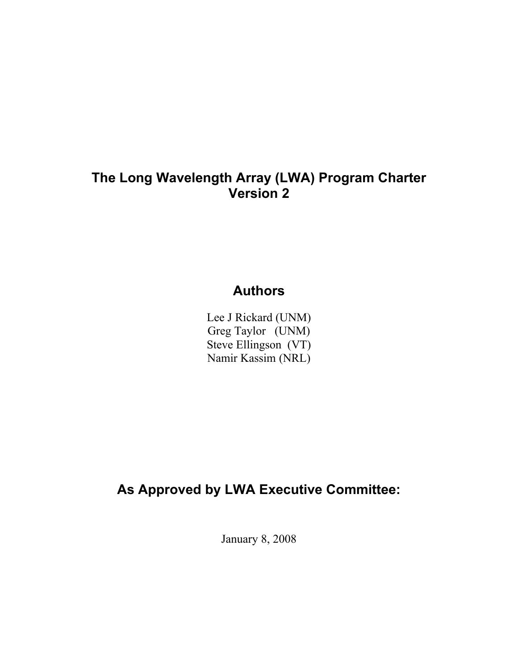### **The Long Wavelength Array (LWA) Program Charter Version 2**

# **Authors**

Lee J Rickard (UNM) Greg Taylor (UNM) Steve Ellingson (VT) Namir Kassim (NRL)

# **As Approved by LWA Executive Committee:**

January 8, 2008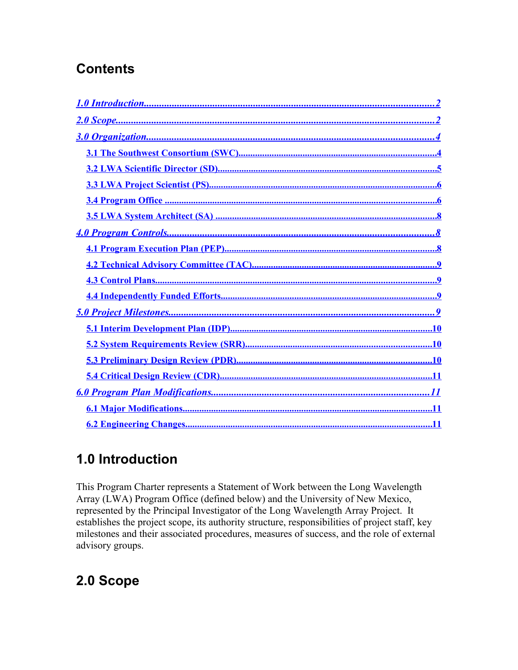# **Contents**

<span id="page-1-18"></span><span id="page-1-17"></span><span id="page-1-16"></span><span id="page-1-15"></span><span id="page-1-14"></span><span id="page-1-13"></span><span id="page-1-12"></span><span id="page-1-11"></span><span id="page-1-0"></span>

# <span id="page-1-10"></span><span id="page-1-9"></span><span id="page-1-8"></span><span id="page-1-7"></span><span id="page-1-6"></span><span id="page-1-5"></span><span id="page-1-4"></span><span id="page-1-3"></span><span id="page-1-2"></span><span id="page-1-1"></span>1.0 Introduction

This Program Charter represents a Statement of Work between the Long Wavelength Array (LWA) Program Office (defined below) and the University of New Mexico, represented by the Principal Investigator of the Long Wavelength Array Project. It establishes the project scope, its authority structure, responsibilities of project staff, key milestones and their associated procedures, measures of success, and the role of external advisory groups.

# 2.0 Scope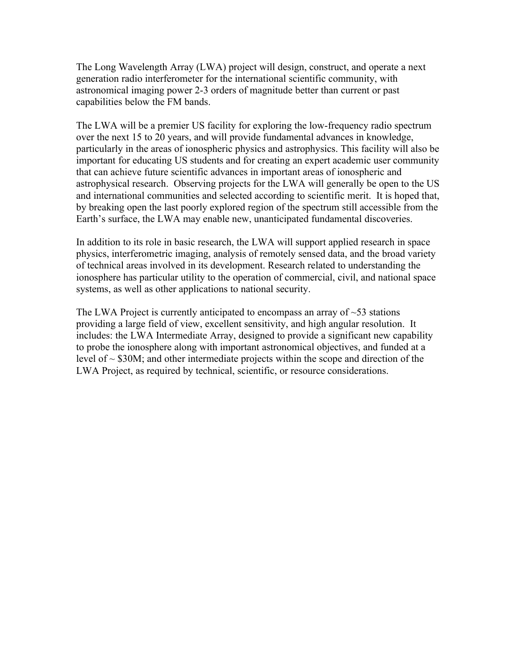The Long Wavelength Array (LWA) project will design, construct, and operate a next generation radio interferometer for the international scientific community, with astronomical imaging power 2-3 orders of magnitude better than current or past capabilities below the FM bands.

The LWA will be a premier US facility for exploring the low-frequency radio spectrum over the next 15 to 20 years, and will provide fundamental advances in knowledge, particularly in the areas of ionospheric physics and astrophysics. This facility will also be important for educating US students and for creating an expert academic user community that can achieve future scientific advances in important areas of ionospheric and astrophysical research. Observing projects for the LWA will generally be open to the US and international communities and selected according to scientific merit. It is hoped that, by breaking open the last poorly explored region of the spectrum still accessible from the Earth's surface, the LWA may enable new, unanticipated fundamental discoveries.

In addition to its role in basic research, the LWA will support applied research in space physics, interferometric imaging, analysis of remotely sensed data, and the broad variety of technical areas involved in its development. Research related to understanding the ionosphere has particular utility to the operation of commercial, civil, and national space systems, as well as other applications to national security.

The LWA Project is currently anticipated to encompass an array of  $\sim$ 53 stations providing a large field of view, excellent sensitivity, and high angular resolution. It includes: the LWA Intermediate Array, designed to provide a significant new capability to probe the ionosphere along with important astronomical objectives, and funded at a level of  $\sim$  \$30M; and other intermediate projects within the scope and direction of the LWA Project, as required by technical, scientific, or resource considerations.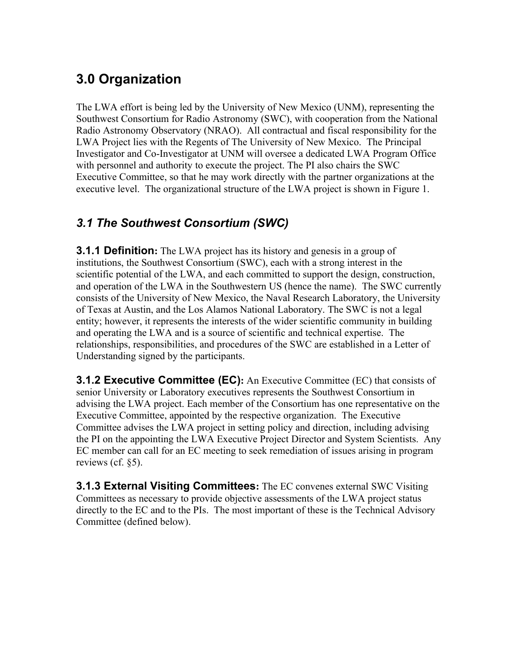# **3.0 Organization**

The LWA effort is being led by the University of New Mexico (UNM), representing the Southwest Consortium for Radio Astronomy (SWC), with cooperation from the National Radio Astronomy Observatory (NRAO). All contractual and fiscal responsibility for the LWA Project lies with the Regents of The University of New Mexico. The Principal Investigator and Co-Investigator at UNM will oversee a dedicated LWA Program Office with personnel and authority to execute the project. The PI also chairs the SWC Executive Committee, so that he may work directly with the partner organizations at the executive level. The organizational structure of the LWA project is shown in Figure 1.

## *3.1 The Southwest Consortium (SWC)*

**3.1.1 Definition:** The LWA project has its history and genesis in a group of institutions, the Southwest Consortium (SWC), each with a strong interest in the scientific potential of the LWA, and each committed to support the design, construction, and operation of the LWA in the Southwestern US (hence the name). The SWC currently consists of the University of New Mexico, the Naval Research Laboratory, the University of Texas at Austin, and the Los Alamos National Laboratory. The SWC is not a legal entity; however, it represents the interests of the wider scientific community in building and operating the LWA and is a source of scientific and technical expertise. The relationships, responsibilities, and procedures of the SWC are established in a Letter of Understanding signed by the participants.

**3.1.2 Executive Committee (EC):** An Executive Committee (EC) that consists of senior University or Laboratory executives represents the Southwest Consortium in advising the LWA project. Each member of the Consortium has one representative on the Executive Committee, appointed by the respective organization. The Executive Committee advises the LWA project in setting policy and direction, including advising the PI on the appointing the LWA Executive Project Director and System Scientists. Any EC member can call for an EC meeting to seek remediation of issues arising in program reviews (cf. §5).

**3.1.3 External Visiting Committees:** The EC convenes external SWC Visiting Committees as necessary to provide objective assessments of the LWA project status directly to the EC and to the PIs. The most important of these is the Technical Advisory Committee (defined below).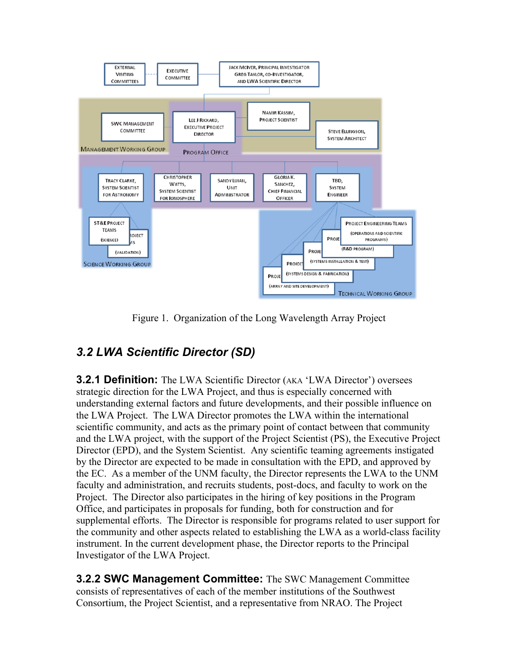

Figure 1. Organization of the Long Wavelength Array Project

## *3.2 LWA Scientific Director (SD)*

**3.2.1 Definition:** The LWA Scientific Director (AKA 'LWA Director') oversees strategic direction for the LWA Project, and thus is especially concerned with understanding external factors and future developments, and their possible influence on the LWA Project. The LWA Director promotes the LWA within the international scientific community, and acts as the primary point of contact between that community and the LWA project, with the support of the Project Scientist (PS), the Executive Project Director (EPD), and the System Scientist. Any scientific teaming agreements instigated by the Director are expected to be made in consultation with the EPD, and approved by the EC. As a member of the UNM faculty, the Director represents the LWA to the UNM faculty and administration, and recruits students, post-docs, and faculty to work on the Project. The Director also participates in the hiring of key positions in the Program Office, and participates in proposals for funding, both for construction and for supplemental efforts. The Director is responsible for programs related to user support for the community and other aspects related to establishing the LWA as a world-class facility instrument. In the current development phase, the Director reports to the Principal Investigator of the LWA Project.

**3.2.2 SWC Management Committee:** The SWC Management Committee consists of representatives of each of the member institutions of the Southwest Consortium, the Project Scientist, and a representative from NRAO. The Project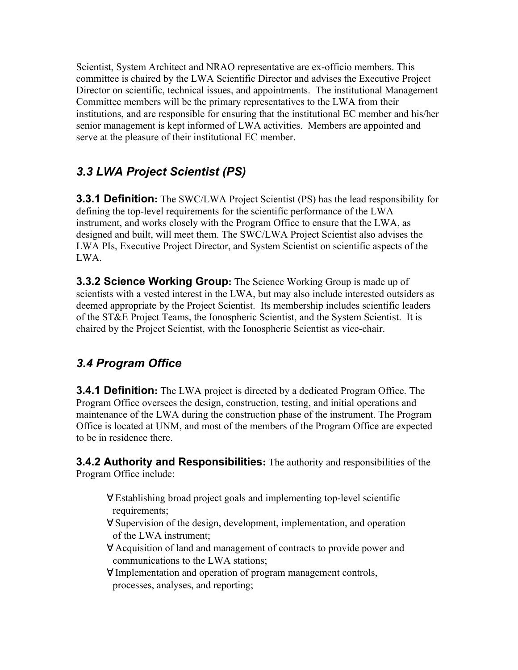Scientist, System Architect and NRAO representative are ex-officio members. This committee is chaired by the LWA Scientific Director and advises the Executive Project Director on scientific, technical issues, and appointments. The institutional Management Committee members will be the primary representatives to the LWA from their institutions, and are responsible for ensuring that the institutional EC member and his/her senior management is kept informed of LWA activities. Members are appointed and serve at the pleasure of their institutional EC member.

## <span id="page-5-0"></span>*3.3 LWA Project Scientist (PS)*

**3.3.1 Definition:** The SWC/LWA Project Scientist (PS) has the lead responsibility for defining the top-level requirements for the scientific performance of the LWA instrument, and works closely with the Program Office to ensure that the LWA, as designed and built, will meet them. The SWC/LWA Project Scientist also advises the LWA PIs, Executive Project Director, and System Scientist on scientific aspects of the LWA.

**3.3.2 Science Working Group:** The Science Working Group is made up of scientists with a vested interest in the LWA, but may also include interested outsiders as deemed appropriate by the Project Scientist. Its membership includes scientific leaders of the ST&E Project Teams, the Ionospheric Scientist, and the System Scientist. It is chaired by the Project Scientist, with the Ionospheric Scientist as vice-chair.

## *3.4 Program Office*

**3.4.1 Definition:** The LWA project is directed by a dedicated Program Office. The Program Office oversees the design, construction, testing, and initial operations and maintenance of the LWA during the construction phase of the instrument. The Program Office is located at UNM, and most of the members of the Program Office are expected to be in residence there.

**3.4.2 Authority and Responsibilities:** The authority and responsibilities of the Program Office include:

- ∀ Establishing broad project goals and implementing top-level scientific requirements;
- ∀ Supervision of the design, development, implementation, and operation of the LWA instrument;
- ∀ Acquisition of land and management of contracts to provide power and communications to the LWA stations;
- ∀ Implementation and operation of program management controls, processes, analyses, and reporting;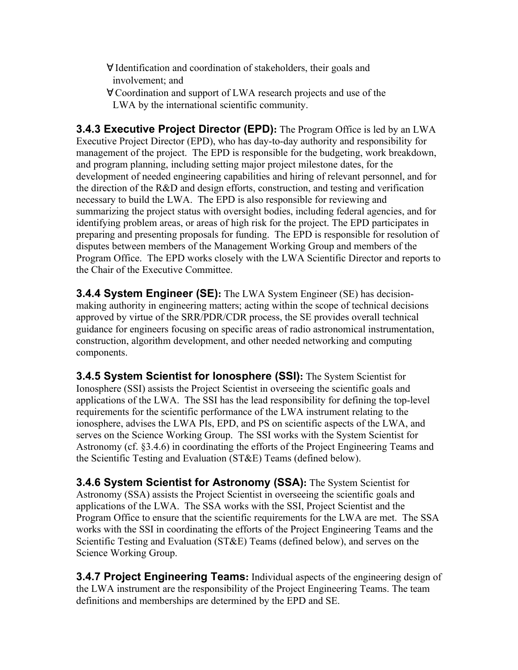- ∀ Identification and coordination of stakeholders, their goals and involvement; and
- ∀ Coordination and support of LWA research projects and use of the LWA by the international scientific community.

**3.4.3 Executive Project Director (EPD):** The Program Office is led by an LWA Executive Project Director (EPD), who has day-to-day authority and responsibility for management of the project. The EPD is responsible for the budgeting, work breakdown, and program planning, including setting major project milestone dates, for the development of needed engineering capabilities and hiring of relevant personnel, and for the direction of the R&D and design efforts, construction, and testing and verification necessary to build the LWA. The EPD is also responsible for reviewing and summarizing the project status with oversight bodies, including federal agencies, and for identifying problem areas, or areas of high risk for the project. The EPD participates in preparing and presenting proposals for funding. The EPD is responsible for resolution of disputes between members of the Management Working Group and members of the Program Office. The EPD works closely with the LWA Scientific Director and reports to the Chair of the Executive Committee.

**3.4.4 System Engineer (SE):** The LWA System Engineer (SE) has decisionmaking authority in engineering matters; acting within the scope of technical decisions approved by virtue of the SRR/PDR/CDR process, the SE provides overall technical guidance for engineers focusing on specific areas of radio astronomical instrumentation, construction, algorithm development, and other needed networking and computing components.

**3.4.5 System Scientist for Ionosphere (SSI):** The System Scientist for Ionosphere (SSI) assists the Project Scientist in overseeing the scientific goals and applications of the LWA. The SSI has the lead responsibility for defining the top-level requirements for the scientific performance of the LWA instrument relating to the ionosphere, advises the LWA PIs, EPD, and PS on scientific aspects of the LWA, and serves on the Science Working Group. The SSI works with the System Scientist for Astronomy (cf. §3.4.6) in coordinating the efforts of the Project Engineering Teams and the Scientific Testing and Evaluation (ST&E) Teams (defined below).

**3.4.6 System Scientist for Astronomy (SSA):** The System Scientist for Astronomy (SSA) assists the Project Scientist in overseeing the scientific goals and applications of the LWA. The SSA works with the SSI, Project Scientist and the Program Office to ensure that the scientific requirements for the LWA are met. The SSA works with the SSI in coordinating the efforts of the Project Engineering Teams and the Scientific Testing and Evaluation (ST&E) Teams (defined below), and serves on the Science Working Group.

**3.4.7 Project Engineering Teams:** Individual aspects of the engineering design of the LWA instrument are the responsibility of the Project Engineering Teams. The team definitions and memberships are determined by the EPD and SE.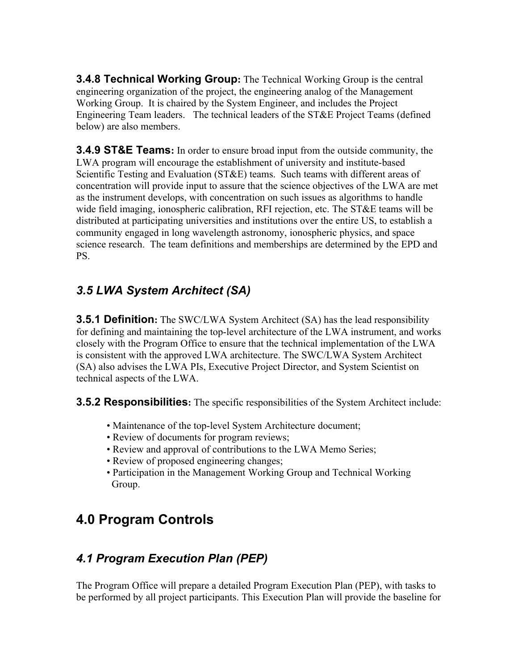**3.4.8 Technical Working Group:** The Technical Working Group is the central engineering organization of the project, the engineering analog of the Management Working Group. It is chaired by the System Engineer, and includes the Project Engineering Team leaders. The technical leaders of the ST&E Project Teams (defined below) are also members.

**3.4.9 ST&E Teams:** In order to ensure broad input from the outside community, the LWA program will encourage the establishment of university and institute-based Scientific Testing and Evaluation (ST&E) teams. Such teams with different areas of concentration will provide input to assure that the science objectives of the LWA are met as the instrument develops, with concentration on such issues as algorithms to handle wide field imaging, ionospheric calibration, RFI rejection, etc. The ST&E teams will be distributed at participating universities and institutions over the entire US, to establish a community engaged in long wavelength astronomy, ionospheric physics, and space science research.The team definitions and memberships are determined by the EPD and PS.

## *3.5 LWA System Architect (SA)*

**3.5.1 Definition:** The SWC/LWA System Architect (SA) has the lead responsibility for defining and maintaining the top-level architecture of the LWA instrument, and works closely with the Program Office to ensure that the technical implementation of the LWA is consistent with the approved LWA architecture. The SWC/LWA System Architect (SA) also advises the LWA PIs, Executive Project Director, and System Scientist on technical aspects of the LWA.

**3.5.2 Responsibilities:** The specific responsibilities of the System Architect include:

- Maintenance of the top-level System Architecture document;
- Review of documents for program reviews;
- Review and approval of contributions to the LWA Memo Series;
- Review of proposed engineering changes;
- Participation in the Management Working Group and Technical Working Group.

# **4.0 Program Controls**

## *4.1 Program Execution Plan (PEP)*

The Program Office will prepare a detailed Program Execution Plan (PEP), with tasks to be performed by all project participants. This Execution Plan will provide the baseline for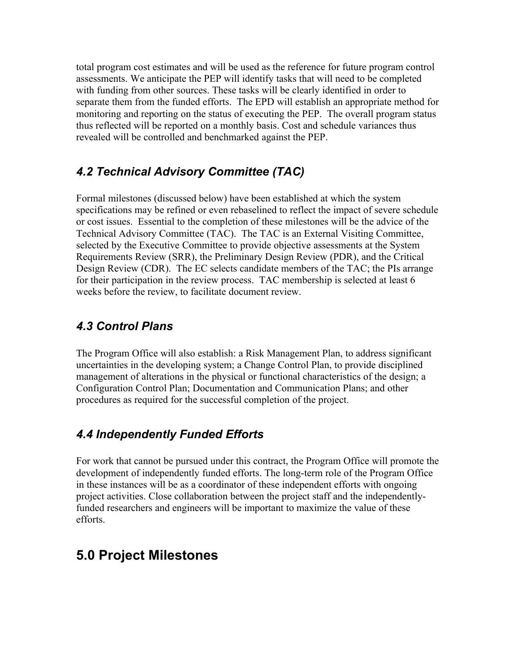total program cost estimates and will be used as the reference for future program control assessments. We anticipate the PEP will identify tasks that will need to be completed with funding from other sources. These tasks will be clearly identified in order to separate them from the funded efforts. The EPD will establish an appropriate method for monitoring and reporting on the status of executing the PEP. The overall program status thus reflected will be reported on a monthly basis. Cost and schedule variances thus revealed will be controlled and benchmarked against the PEP.

### *4.2 Technical Advisory Committee (TAC)*

Formal milestones (discussed below) have been established at which the system specifications may be refined or even rebaselined to reflect the impact of severe schedule or cost issues. Essential to the completion of these milestones will be the advice of the Technical Advisory Committee (TAC). The TAC is an External Visiting Committee, selected by the Executive Committee to provide objective assessments at the System Requirements Review (SRR), the Preliminary Design Review (PDR), and the Critical Design Review (CDR). The EC selects candidate members of the TAC; the PIs arrange for their participation in the review process. TAC membership is selected at least 6 weeks before the review, to facilitate document review.

#### *4.3 Control Plans*

The Program Office will also establish: a Risk Management Plan, to address significant uncertainties in the developing system; a Change Control Plan, to provide disciplined management of alterations in the physical or functional characteristics of the design; a Configuration Control Plan; Documentation and Communication Plans; and other procedures as required for the successful completion of the project.

#### <span id="page-8-0"></span>*4.4 Independently Funded Efforts*

For work that cannot be pursued under this contract, the Program Office will promote the development of independently funded efforts. The long-term role of the Program Office in these instances will be as a coordinator of these independent efforts with ongoing project activities. Close collaboration between the project staff and the independentlyfunded researchers and engineers will be important to maximize the value of these efforts.

# **5.0 Project Milestones**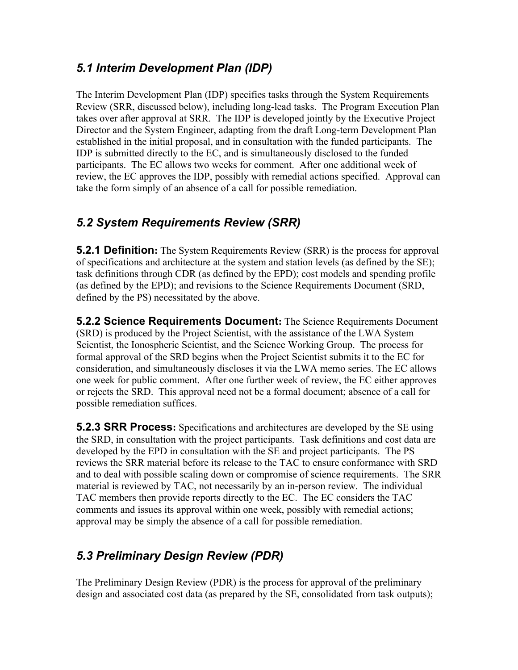#### *5.1 Interim Development Plan (IDP)*

The Interim Development Plan (IDP) specifies tasks through the System Requirements Review (SRR, discussed below), including long-lead tasks. The Program Execution Plan takes over after approval at SRR. The IDP is developed jointly by the Executive Project Director and the System Engineer, adapting from the draft Long-term Development Plan established in the initial proposal, and in consultation with the funded participants. The IDP is submitted directly to the EC, and is simultaneously disclosed to the funded participants. The EC allows two weeks for comment. After one additional week of review, the EC approves the IDP, possibly with remedial actions specified. Approval can take the form simply of an absence of a call for possible remediation.

### *5.2 System Requirements Review (SRR)*

**5.2.1 Definition:** The System Requirements Review (SRR) is the process for approval of specifications and architecture at the system and station levels (as defined by the SE); task definitions through CDR (as defined by the EPD); cost models and spending profile (as defined by the EPD); and revisions to the Science Requirements Document (SRD, defined by the PS) necessitated by the above.

**5.2.2 Science Requirements Document:** The Science Requirements Document (SRD) is produced by the Project Scientist, with the assistance of the LWA System Scientist, the Ionospheric Scientist, and the Science Working Group. The process for formal approval of the SRD begins when the Project Scientist submits it to the EC for consideration, and simultaneously discloses it via the LWA memo series. The EC allows one week for public comment. After one further week of review, the EC either approves or rejects the SRD. This approval need not be a formal document; absence of a call for possible remediation suffices.

**5.2.3 SRR Process:** Specifications and architectures are developed by the SE using the SRD, in consultation with the project participants. Task definitions and cost data are developed by the EPD in consultation with the SE and project participants. The PS reviews the SRR material before its release to the TAC to ensure conformance with SRD and to deal with possible scaling down or compromise of science requirements. The SRR material is reviewed by TAC, not necessarily by an in-person review. The individual TAC members then provide reports directly to the EC. The EC considers the TAC comments and issues its approval within one week, possibly with remedial actions; approval may be simply the absence of a call for possible remediation.

## *5.3 Preliminary Design Review (PDR)*

The Preliminary Design Review (PDR) is the process for approval of the preliminary design and associated cost data (as prepared by the SE, consolidated from task outputs);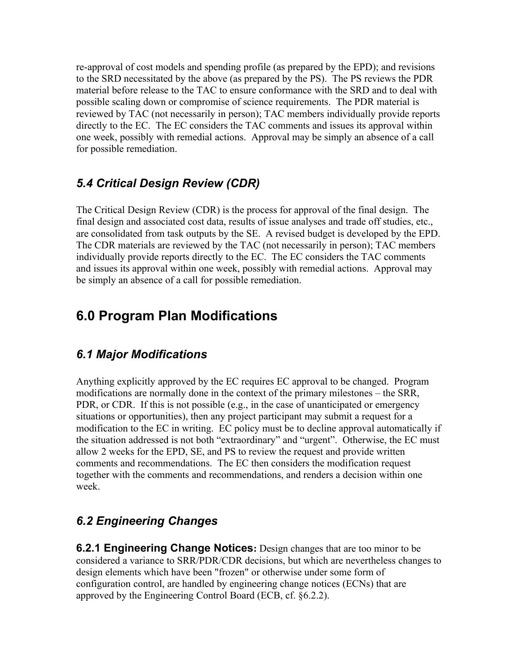re-approval of cost models and spending profile (as prepared by the EPD); and revisions to the SRD necessitated by the above (as prepared by the PS). The PS reviews the PDR material before release to the TAC to ensure conformance with the SRD and to deal with possible scaling down or compromise of science requirements. The PDR material is reviewed by TAC (not necessarily in person); TAC members individually provide reports directly to the EC. The EC considers the TAC comments and issues its approval within one week, possibly with remedial actions. Approval may be simply an absence of a call for possible remediation.

#### *5.4 Critical Design Review (CDR)*

The Critical Design Review (CDR) is the process for approval of the final design. The final design and associated cost data, results of issue analyses and trade off studies, etc., are consolidated from task outputs by the SE. A revised budget is developed by the EPD. The CDR materials are reviewed by the TAC (not necessarily in person); TAC members individually provide reports directly to the EC. The EC considers the TAC comments and issues its approval within one week, possibly with remedial actions. Approval may be simply an absence of a call for possible remediation.

## **6.0 Program Plan Modifications**

#### *6.1 Major Modifications*

Anything explicitly approved by the EC requires EC approval to be changed. Program modifications are normally done in the context of the primary milestones – the SRR, PDR, or CDR. If this is not possible (e.g., in the case of unanticipated or emergency situations or opportunities), then any project participant may submit a request for a modification to the EC in writing. EC policy must be to decline approval automatically if the situation addressed is not both "extraordinary" and "urgent". Otherwise, the EC must allow 2 weeks for the EPD, SE, and PS to review the request and provide written comments and recommendations. The EC then considers the modification request together with the comments and recommendations, and renders a decision within one week.

#### *6.2 Engineering Changes*

**6.2.1 Engineering Change Notices:** Design changes that are too minor to be considered a variance to SRR/PDR/CDR decisions, but which are nevertheless changes to design elements which have been "frozen" or otherwise under some form of configuration control, are handled by engineering change notices (ECNs) that are approved by the Engineering Control Board (ECB, cf. §6.2.2).